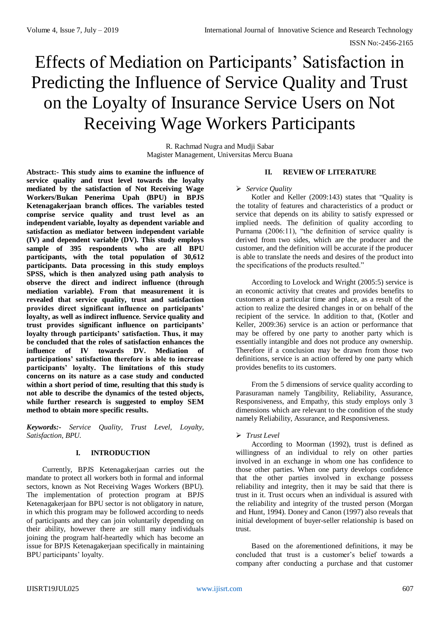# Effects of Mediation on Participants' Satisfaction in Predicting the Influence of Service Quality and Trust on the Loyalty of Insurance Service Users on Not Receiving Wage Workers Participants

R. Rachmad Nugra and Mudji Sabar Magister Management, Universitas Mercu Buana

**Abstract:- This study aims to examine the influence of service quality and trust level towards the loyalty mediated by the satisfaction of Not Receiving Wage Workers/Bukan Penerima Upah (BPU) in BPJS Ketenagakerjaan branch offices. The variables tested comprise service quality and trust level as an independent variable, loyalty as dependent variable and satisfaction as mediator between independent variable (IV) and dependent variable (DV). This study employs sample of 395 respondents who are all BPU participants, with the total population of 30,612 participants. Data processing in this study employs SPSS, which is then analyzed using path analysis to observe the direct and indirect influence (through mediation variable). From that measurement it is revealed that service quality, trust and satisfaction provides direct significant influence on participants' loyalty, as well as indirect influence. Service quality and trust provides significant influence on participants' loyalty through participants' satisfaction. Thus, it may be concluded that the roles of satisfaction enhances the influence of IV towards DV. Mediation of participations' satisfaction therefore is able to increase participants' loyalty. The limitations of this study concerns on its nature as a case study and conducted within a short period of time, resulting that this study is not able to describe the dynamics of the tested objects, while further research is suggested to employ SEM method to obtain more specific results.** 

*Keywords:- Service Quality, Trust Level, Loyalty, Satisfaction, BPU.*

# **I. INTRODUCTION**

Currently, BPJS Ketenagakerjaan carries out the mandate to protect all workers both in formal and informal sectors, known as Not Receiving Wages Workers (BPU). The implementation of protection program at BPJS Ketenagakerjaan for BPU sector is not obligatory in nature, in which this program may be followed according to needs of participants and they can join voluntarily depending on their ability, however there are still many individuals joining the program half-heartedly which has become an issue for BPJS Ketenagakerjaan specifically in maintaining BPU participants' loyalty.

#### **II. REVIEW OF LITERATURE**

#### *Service Quality*

Kotler and Keller (2009:143) states that "Quality is the totality of features and characteristics of a product or service that depends on its ability to satisfy expressed or implied needs. The definition of quality according to Purnama (2006:11), "the definition of service quality is derived from two sides, which are the producer and the customer, and the definition will be accurate if the producer is able to translate the needs and desires of the product into the specifications of the products resulted."

According to Lovelock and Wright (2005:5) service is an economic activity that creates and provides benefits to customers at a particular time and place, as a result of the action to realize the desired changes in or on behalf of the recipient of the service. In addition to that, (Kotler and Keller, 2009:36) service is an action or performance that may be offered by one party to another party which is essentially intangible and does not produce any ownership. Therefore if a conclusion may be drawn from those two definitions, service is an action offered by one party which provides benefits to its customers.

From the 5 dimensions of service quality according to Parasuraman namely Tangibility, Reliability, Assurance, Responsiveness, and Empathy, this study employs only 3 dimensions which are relevant to the condition of the study namely Reliability, Assurance, and Responsiveness.

# *Trust Level*

According to Moorman (1992), trust is defined as willingness of an individual to rely on other parties involved in an exchange in whom one has confidence to those other parties. When one party develops confidence that the other parties involved in exchange possess reliability and integrity, then it may be said that there is trust in it. Trust occurs when an individual is assured with the reliability and integrity of the trusted person (Morgan and Hunt, 1994). Doney and Canon (1997) also reveals that initial development of buyer-seller relationship is based on trust.

Based on the aforementioned definitions, it may be concluded that trust is a customer's belief towards a company after conducting a purchase and that customer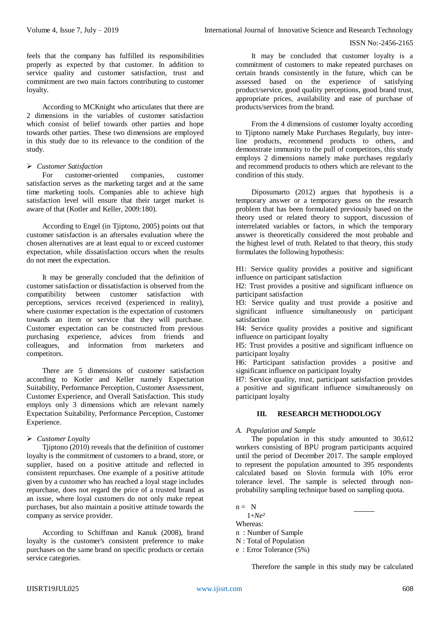#### ISSN No:-2456-2165

feels that the company has fulfilled its responsibilities properly as expected by that customer. In addition to service quality and customer satisfaction, trust and commitment are two main factors contributing to customer loyalty.

According to MCKnight who articulates that there are 2 dimensions in the variables of customer satisfaction which consist of belief towards other parties and hope towards other parties. These two dimensions are employed in this study due to its relevance to the condition of the study.

# *Customer Satisfaction*

customer-oriented companies, customer satisfaction serves as the marketing target and at the same time marketing tools. Companies able to achieve high satisfaction level will ensure that their target market is aware of that (Kotler and Keller, 2009:180).

According to Engel (in Tjiptono, 2005) points out that customer satisfaction is an aftersales evaluation where the chosen alternatives are at least equal to or exceed customer expectation, while dissatisfaction occurs when the results do not meet the expectation.

It may be generally concluded that the definition of customer satisfaction or dissatisfaction is observed from the compatibility between customer satisfaction with perceptions, services received (experienced in reality), where customer expectation is the expectation of customers towards an item or service that they will purchase. Customer expectation can be constructed from previous purchasing experience, advices from friends and colleagues, and information from marketers and competitors.

There are 5 dimensions of customer satisfaction according to Kotler and Keller namely Expectation Suitability, Performance Perception, Customer Assessment, Customer Experience, and Overall Satisfaction. This study employs only 3 dimensions which are relevant namely Expectation Suitability, Performance Perception, Customer Experience.

# *Customer Loyalty*

Tjiptono (2010) reveals that the definition of customer loyalty is the commitment of customers to a brand, store, or supplier, based on a positive attitude and reflected in consistent repurchases. One example of a positive attitude given by a customer who has reached a loyal stage includes repurchase, does not regard the price of a trusted brand as an issue, where loyal customers do not only make repeat purchases, but also maintain a positive attitude towards the company as service provider.

According to Schiffman and Kanuk (2008), brand loyalty is the customer's consistent preference to make purchases on the same brand on specific products or certain service categories.

It may be concluded that customer loyalty is a commitment of customers to make repeated purchases on certain brands consistently in the future, which can be assessed based on the experience of satisfying product/service, good quality perceptions, good brand trust, appropriate prices, availability and ease of purchase of products/services from the brand.

From the 4 dimensions of customer loyalty according to Tjiptono namely Make Purchases Regularly, buy interline products, recommend products to others, and demonstrate immunity to the pull of competitors, this study employs 2 dimensions namely make purchases regularly and recommend products to others which are relevant to the condition of this study.

Diposumarto (2012) argues that hypothesis is a temporary answer or a temporary guess on the research problem that has been formulated previously based on the theory used or related theory to support, discussion of interrelated variables or factors, in which the temporary answer is theoretically considered the most probable and the highest level of truth. Related to that theory, this study formulates the following hypothesis:

H1: Service quality provides a positive and significant influence on participant satisfaction

H2: Trust provides a positive and significant influence on participant satisfaction

H3: Service quality and trust provide a positive and significant influence simultaneously on participant satisfaction

H4: Service quality provides a positive and significant influence on participant loyalty

H5: Trust provides a positive and significant influence on participant loyalty

H6: Participant satisfaction provides a positive and significant influence on participant loyalty

H7: Service quality, trust, participant satisfaction provides a positive and significant influence simultaneously on participant loyalty

# **III. RESEARCH METHODOLOGY**

# *A. Population and Sample*

The population in this study amounted to 30,612 workers consisting of BPU program participants acquired until the period of December 2017. The sample employed to represent the population amounted to 395 respondents calculated based on Slovin formula with 10% error tolerance level. The sample is selected through nonprobability sampling technique based on sampling quota.

 $n = N$ 

 1+*Ne²* Whereas:

n : Number of Sample

N : Total of Population

e : Error Tolerance (5%)

Therefore the sample in this study may be calculated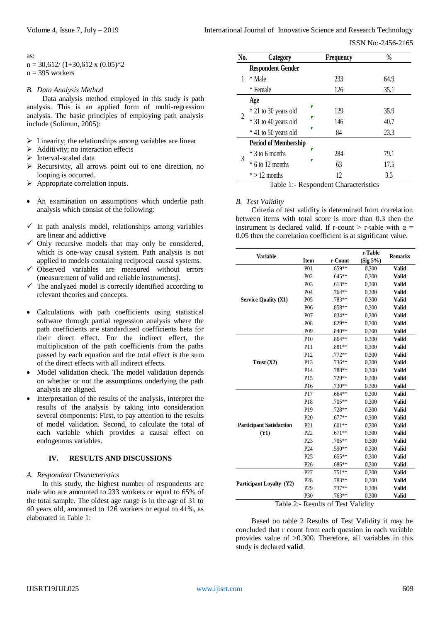#### as:

 $n = 30,612/(1+30,612 \times (0.05)^{2})$  $n = 395$  workers

#### *B. Data Analysis Method*

Data analysis method employed in this study is path analysis. This is an applied form of multi-regression analysis. The basic principles of employing path analysis include (Solimun, 2005):

- $\triangleright$  Linearity; the relationships among variables are linear
- Additivity; no interaction effects
- Interval-scaled data
- $\triangleright$  Recursivity, all arrows point out to one direction, no looping is occurred.
- $\triangleright$  Appropriate correlation inputs.
- An examination on assumptions which underlie path analysis which consist of the following:
- $\checkmark$  In path analysis model, relationships among variables are linear and addictive
- $\checkmark$  Only recursive models that may only be considered, which is one-way causal system. Path analysis is not applied to models containing reciprocal causal systems.
- $\checkmark$  Observed variables are measured without errors (measurement of valid and reliable instruments).
- $\checkmark$  The analyzed model is correctly identified according to relevant theories and concepts.
- Calculations with path coefficients using statistical software through partial regression analysis where the path coefficients are standardized coefficients beta for their direct effect. For the indirect effect, the multiplication of the path coefficients from the paths passed by each equation and the total effect is the sum of the direct effects with all indirect effects.
- Model validation check. The model validation depends on whether or not the assumptions underlying the path analysis are aligned.
- Interpretation of the results of the analysis, interpret the results of the analysis by taking into consideration several components: First, to pay attention to the results of model validation. Second, to calculate the total of each variable which provides a causal effect on endogenous variables.

# **IV. RESULTS AND DISCUSSIONS**

#### *A. Respondent Characteristics*

In this study, the highest number of respondents are male who are amounted to 233 workers or equal to 65% of the total sample. The oldest age range is in the age of 31 to 40 years old, amounted to 126 workers or equal to 41%, as elaborated in Table 1:

| No. | Category                    |   | <b>Frequency</b> | $\frac{0}{0}$ |
|-----|-----------------------------|---|------------------|---------------|
|     | <b>Respondent Gender</b>    |   |                  |               |
|     | * Male                      |   | 233              | 64.9          |
|     | * Female                    |   | 126              | 35.1          |
|     | Age                         |   |                  |               |
| 2   | * 21 to 30 years old        | ν | 129              | 35.9          |
|     | * 31 to 40 years old        |   | 146              | 40.7          |
|     | * 41 to 50 years old        |   | 84               | 23.3          |
|     | <b>Period of Membership</b> |   |                  |               |
| 3   | $*$ 3 to 6 months           |   | 284              | 79.1          |
|     | * 6 to 12 months            |   | 63               | 17.5          |
|     | $*$ > 12 months             |   | 12               | 3.3           |

Table 1:- Respondent Characteristics

#### *B. Test Validity*

Criteria of test validity is determined from correlation between items with total score is more than 0.3 then the instrument is declared valid. If r-count  $>$  r-table with  $\alpha$  = 0.05 then the correlation coefficient is at significant value.

| <b>Variable</b>                 |                  |          | r-Table     | <b>Remarks</b> |
|---------------------------------|------------------|----------|-------------|----------------|
|                                 | <b>Item</b>      | r-Count  | $(Sig 5\%)$ |                |
|                                 | P <sub>0</sub> 1 | $.659**$ | 0,300       | <b>Valid</b>   |
|                                 | P <sub>0</sub> 2 | $.645**$ | 0,300       | <b>Valid</b>   |
|                                 | P03              | $.613**$ | 0,300       | <b>Valid</b>   |
|                                 | P <sub>04</sub>  | .764**   | 0,300       | <b>Valid</b>   |
| <b>Service Quality (X1)</b>     | P <sub>05</sub>  | .783**   | 0,300       | <b>Valid</b>   |
|                                 | P <sub>06</sub>  | $.858**$ | 0,300       | <b>Valid</b>   |
|                                 | P <sub>07</sub>  | $.834**$ | 0,300       | <b>Valid</b>   |
|                                 | P <sub>08</sub>  | $.829**$ | 0,300       | <b>Valid</b>   |
|                                 | P <sub>09</sub>  | $.840**$ | 0,300       | <b>Valid</b>   |
|                                 | P10              | $.864**$ | 0,300       | <b>Valid</b>   |
|                                 | P11              | $.881**$ | 0,300       | <b>Valid</b>   |
|                                 | P12              | .772**   | 0,300       | <b>Valid</b>   |
| Trust $(X2)$                    | P <sub>13</sub>  | $.736**$ | 0,300       | <b>Valid</b>   |
|                                 | P <sub>14</sub>  | .788**   | 0,300       | <b>Valid</b>   |
|                                 | P <sub>15</sub>  | .729**   | 0,300       | <b>Valid</b>   |
|                                 | P <sub>16</sub>  | $.730**$ | 0,300       | <b>Valid</b>   |
|                                 | P17              | $.664**$ | 0,300       | <b>Valid</b>   |
|                                 | P18              | $.705**$ | 0,300       | <b>Valid</b>   |
|                                 | P19              | .728**   | 0,300       | <b>Valid</b>   |
|                                 | P <sub>20</sub>  | $.677**$ | 0,300       | <b>Valid</b>   |
| <b>Participant Satisfaction</b> | P <sub>21</sub>  | $.601**$ | 0,300       | <b>Valid</b>   |
| (Y1)                            | P <sub>22</sub>  | $.671**$ | 0,300       | <b>Valid</b>   |
|                                 | P <sub>23</sub>  | $.705**$ | 0,300       | <b>Valid</b>   |
|                                 | P <sub>24</sub>  | $.590**$ | 0,300       | <b>Valid</b>   |
|                                 | P <sub>25</sub>  | $.655**$ | 0,300       | <b>Valid</b>   |
|                                 | P <sub>26</sub>  | $.686**$ | 0,300       | <b>Valid</b>   |
|                                 | P27              | .751**   | 0,300       | <b>Valid</b>   |
| Participant Loyalty (Y2)        | P <sub>28</sub>  | .783**   | 0,300       | <b>Valid</b>   |
|                                 | P <sub>29</sub>  | .737**   | 0,300       | <b>Valid</b>   |
|                                 | P30              | $.763**$ | 0,300       | <b>Valid</b>   |

Based on table 2 Results of Test Validity it may be concluded that r count from each question in each variable provides value of >0.300. Therefore, all variables in this study is declared **valid**.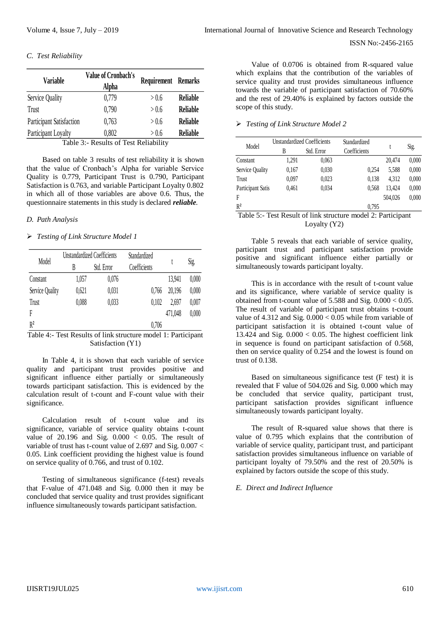# *C. Test Reliability*

| <b>Variable</b>          | <b>Value of Cronbach's</b><br>Alpha | <b>Requirement Remarks</b> |                 |  |
|--------------------------|-------------------------------------|----------------------------|-----------------|--|
| Service Quality          | 0,779                               | > 0.6                      | <b>Reliable</b> |  |
| Trust                    | 0.790                               | > 0.6                      | <b>Reliable</b> |  |
| Participant Satisfaction | 0,763                               | > 0.6                      | <b>Reliable</b> |  |
| Participant Loyalty      | 0,802<br>$\sim$ $\sim$              | > 0.6                      | <b>Reliable</b> |  |

Table 3:- Results of Test Reliability

Based on table 3 results of test reliability it is shown that the value of Cronbach's Alpha for variable Service Quality is 0.779, Participant Trust is 0.790, Participant Satisfaction is 0.763, and variable Participant Loyalty 0.802 in which all of those variables are above 0.6. Thus, the questionnaire statements in this study is declared *reliable.*

#### *D. Path Analysis*

#### *Testing of Link Structure Model 1*

| Model           |       | <b>Unstandardized Coefficients</b> | Standardized |         | Sig.  |  |
|-----------------|-------|------------------------------------|--------------|---------|-------|--|
|                 | B     | Std. Error                         | Coefficients |         |       |  |
| Constant        | 1,057 | 0,076                              |              | 13,941  | 0,000 |  |
| Service Quality | 0,621 | 0,031                              | 0,766        | 20,196  | 0,000 |  |
| Trust           | 0,088 | 0,033                              | 0.102        | 2.697   | 0,007 |  |
| F               |       |                                    |              | 471,048 | 0,000 |  |
| $R^2$           |       |                                    | 0,706        |         |       |  |

Table 4:- Test Results of link structure model 1: Participant Satisfaction (Y1)

In Table 4, it is shown that each variable of service quality and participant trust provides positive and significant influence either partially or simultaneously towards participant satisfaction. This is evidenced by the calculation result of t-count and F-count value with their significance.

Calculation result of t-count value and its significance, variable of service quality obtains t-count value of  $20.196$  and Sig.  $0.000 < 0.05$ . The result of variable of trust has t-count value of 2.697 and Sig. 0.007 < 0.05. Link coefficient providing the highest value is found on service quality of 0.766, and trust of 0.102.

Testing of simultaneous significance (f-test) reveals that F-value of 471.048 and Sig. 0.000 then it may be concluded that service quality and trust provides significant influence simultaneously towards participant satisfaction.

 ISSN No:-2456-2165 Value of 0.0706 is obtained from R-squared value

which explains that the contribution of the variables of service quality and trust provides simultaneous influence towards the variable of participant satisfaction of 70.60% and the rest of 29.40% is explained by factors outside the scope of this study.

# *Testing of Link Structure Model 2*

| $\vee$ v.v<br>www                    |                   |                                    |                                             |                                                                                                                  |         |       |
|--------------------------------------|-------------------|------------------------------------|---------------------------------------------|------------------------------------------------------------------------------------------------------------------|---------|-------|
| st Reliability                       | Model             | <b>Unstandardized Coefficients</b> |                                             | Standardized                                                                                                     |         |       |
|                                      |                   | B                                  | Std. Error                                  | Coefficients                                                                                                     |         | Sig.  |
| est reliability it is shown          | Constant          | 1,291                              | 0,063                                       |                                                                                                                  | 20,474  | 0,000 |
| oha for variable Service             | Service Quality   | 0,167                              | 0,030                                       | 0,254                                                                                                            | 5,588   | 0,000 |
| ust is 0.790, Participant            | Trust             | 0.097                              | 0.023                                       | 0.138                                                                                                            | 4,312   | 0,000 |
| Participant Loyalty 0.802            | Participant Satis | 0,461                              | 0,034                                       | 0.568                                                                                                            | 13,424  | 0,000 |
| re above 0.6. Thus, the              | F                 |                                    |                                             |                                                                                                                  | 504.026 | 0.000 |
| dy is declared <i>reliable</i> .     | R <sup>2</sup>    |                                    |                                             | 0.795                                                                                                            |         |       |
|                                      |                   |                                    |                                             | Table 5:- Test Result of link structure model 2: Participant                                                     |         |       |
|                                      |                   |                                    | Loyalty $(Y2)$                              |                                                                                                                  |         |       |
| 11                                   |                   |                                    |                                             | Table 5 reveals that each variable of service quality,                                                           |         |       |
| Standardized<br>Sig.<br>Coefficients |                   |                                    | simultaneously towards participant loyalty. | participant trust and participant satisfaction provide<br>positive and significant influence either partially or |         |       |

This is in accordance with the result of t-count value and its significance, where variable of service quality is obtained from t-count value of 5.588 and Sig. 0.000 < 0.05. The result of variable of participant trust obtains t-count value of  $4.312$  and Sig.  $0.000 < 0.05$  while from variable of participant satisfaction it is obtained t-count value of 13.424 and Sig.  $0.000 < 0.05$ . The highest coefficient link in sequence is found on participant satisfaction of 0.568, then on service quality of 0.254 and the lowest is found on trust of 0.138.

Based on simultaneous significance test (F test) it is revealed that F value of 504.026 and Sig. 0.000 which may be concluded that service quality, participant trust, participant satisfaction provides significant influence simultaneously towards participant loyalty.

The result of R-squared value shows that there is value of 0.795 which explains that the contribution of variable of service quality, participant trust, and participant satisfaction provides simultaneous influence on variable of participant loyalty of 79.50% and the rest of 20.50% is explained by factors outside the scope of this study.

# *E. Direct and Indirect Influence*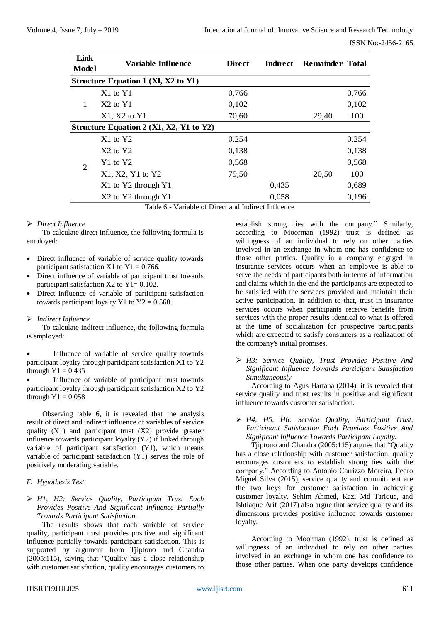| Link<br>Model  | Variable Influence                      | <b>Direct</b> | <b>Indirect</b> | <b>Remainder Total</b> |       |
|----------------|-----------------------------------------|---------------|-----------------|------------------------|-------|
|                | Structure Equation 1 (XI, X2 to Y1)     |               |                 |                        |       |
|                | $X1$ to $Y1$                            | 0,766         |                 |                        | 0,766 |
| 1              | $X2$ to $Y1$                            | 0,102         |                 |                        | 0,102 |
|                | $X1, X2$ to $Y1$                        | 70,60         |                 | 29,40                  | 100   |
|                | Structure Equation 2 (X1, X2, Y1 to Y2) |               |                 |                        |       |
|                | $X1$ to $Y2$                            | 0,254         |                 |                        | 0,254 |
|                | $X2$ to $Y2$                            | 0,138         |                 |                        | 0,138 |
| $\overline{2}$ | $Y1$ to $Y2$                            | 0,568         |                 |                        | 0,568 |
|                | $X1, X2, Y1$ to $Y2$                    | 79,50         |                 | 20,50                  | 100   |
|                | X1 to Y2 through Y1                     |               | 0,435           |                        | 0,689 |
|                | X2 to Y2 through Y1                     |               | 0,058           |                        | 0,196 |

Table 6:- Variable of Direct and Indirect Influence

#### *Direct Influence*

To calculate direct influence, the following formula is employed:

- Direct influence of variable of service quality towards participant satisfaction X1 to  $Y1 = 0.766$ .
- Direct influence of variable of participant trust towards participant satisfaction  $X2$  to  $Y1 = 0.102$ .
- Direct influence of variable of participant satisfaction towards participant loyalty Y1 to  $Y2 = 0.568$ .

# *Indirect Influence*

To calculate indirect influence, the following formula is employed:

 Influence of variable of service quality towards participant loyalty through participant satisfaction X1 to Y2 through  $Y1 = 0.435$ 

 Influence of variable of participant trust towards participant loyalty through participant satisfaction X2 to Y2 through  $Y1 = 0.058$ 

Observing table 6, it is revealed that the analysis result of direct and indirect influence of variables of service quality (X1) and participant trust (X2) provide greater influence towards participant loyalty (Y2) if linked through variable of participant satisfaction (Y1), which means variable of participant satisfaction (Y1) serves the role of positively moderating variable.

# *F. Hypothesis Test*

# *H1, H2: Service Quality, Participant Trust Each Provides Positive And Significant Influence Partially Towards Participant Satisfaction.*

The results shows that each variable of service quality, participant trust provides positive and significant influence partially towards participant satisfaction. This is supported by argument from Tjiptono and Chandra (2005:115), saying that "Quality has a close relationship with customer satisfaction, quality encourages customers to

establish strong ties with the company." Similarly, according to Moorman (1992) trust is defined as willingness of an individual to rely on other parties involved in an exchange in whom one has confidence to those other parties. Quality in a company engaged in insurance services occurs when an employee is able to serve the needs of participants both in terms of information and claims which in the end the participants are expected to be satisfied with the services provided and maintain their active participation. In addition to that, trust in insurance services occurs when participants receive benefits from services with the proper results identical to what is offered at the time of socialization for prospective participants which are expected to satisfy consumers as a realization of the company's initial promises.

 *H3: Service Quality, Trust Provides Positive And Significant Influence Towards Participant Satisfaction Simultaneously*

According to Agus Hartana (2014), it is revealed that service quality and trust results in positive and significant influence towards customer satisfaction.

# *H4, H5, H6: Service Quality, Participant Trust, Participant Satisfaction Each Provides Positive And Significant Influence Towards Participant Loyalty.*

Tjiptono and Chandra (2005:115) argues that "Quality has a close relationship with customer satisfaction, quality encourages customers to establish strong ties with the company." According to Antonio Carrizzo Moreira, Pedro Miguel Silva (2015), service quality and commitment are the two keys for customer satisfaction in achieving customer loyalty. Sehim Ahmed, Kazi Md Tarique, and Ishtiaque Arif (2017) also argue that service quality and its dimensions provides positive influence towards customer loyalty.

According to Moorman (1992), trust is defined as willingness of an individual to rely on other parties involved in an exchange in whom one has confidence to those other parties. When one party develops confidence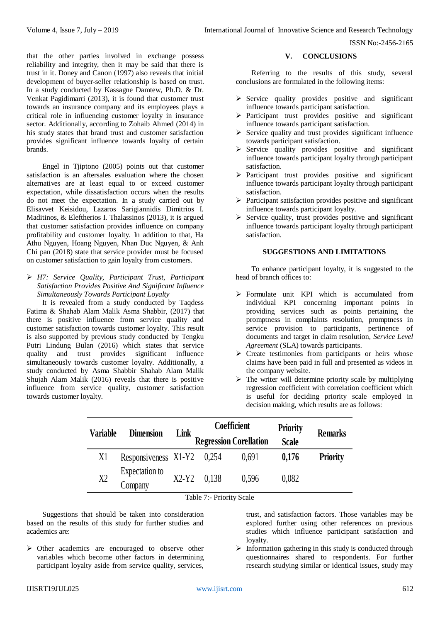that the other parties involved in exchange possess reliability and integrity, then it may be said that there is trust in it. Doney and Canon (1997) also reveals that initial development of buyer-seller relationship is based on trust. In a study conducted by Kassagne Damtew, Ph.D. & Dr. Venkat Pagidimarri (2013), it is found that customer trust towards an insurance company and its employees plays a critical role in influencing customer loyalty in insurance sector. Additionally, according to Zohaib Ahmed (2014) in his study states that brand trust and customer satisfaction provides significant influence towards loyalty of certain brands.

Engel in Tjiptono (2005) points out that customer satisfaction is an aftersales evaluation where the chosen alternatives are at least equal to or exceed customer expectation, while dissatisfaction occurs when the results do not meet the expectation. In a study carried out by Elisavvet Keisidou, Lazaros Sarigiannidis Dimitrios I. Maditinos, & Eleftherios I. Thalassinos (2013), it is argued that customer satisfaction provides influence on company profitability and customer loyalty. In addition to that, Ha Athu Nguyen, Hoang Nguyen, Nhan Duc Nguyen, & Anh Chi pan (2018) state that service provider must be focused on customer satisfaction to gain loyalty from customers.

 *H7: Service Quality, Participant Trust, Participant Satisfaction Provides Positive And Significant Influence Simultaneously Towards Participant Loyalty*

It is revealed from a study conducted by Taqdess Fatima & Shahab Alam Malik Asma Shabbir, (2017) that there is positive influence from service quality and customer satisfaction towards customer loyalty. This result is also supported by previous study conducted by Tengku Putri Lindung Bulan (2016) which states that service quality and trust provides significant influence simultaneously towards customer loyalty. Additionally, a study conducted by Asma Shabbir Shahab Alam Malik Shujah Alam Malik (2016) reveals that there is positive influence from service quality, customer satisfaction towards customer loyalty.

#### **V. CONCLUSIONS**

Referring to the results of this study, several conclusions are formulated in the following items:

- $\triangleright$  Service quality provides positive and significant influence towards participant satisfaction.
- $\triangleright$  Participant trust provides positive and significant influence towards participant satisfaction.
- $\triangleright$  Service quality and trust provides significant influence towards participant satisfaction.
- $\triangleright$  Service quality provides positive and significant influence towards participant loyalty through participant satisfaction.
- $\triangleright$  Participant trust provides positive and significant influence towards participant loyalty through participant satisfaction.
- $\triangleright$  Participant satisfaction provides positive and significant influence towards participant loyalty.
- $\triangleright$  Service quality, trust provides positive and significant influence towards participant loyalty through participant satisfaction.

# **SUGGESTIONS AND LIMITATIONS**

To enhance participant loyalty, it is suggested to the head of branch offices to:

- Formulate unit KPI which is accumulated from individual KPI concerning important points in providing services such as points pertaining the promptness in complaints resolution, promptness in service provision to participants, pertinence of documents and target in claim resolution, *Service Level Agreement* (SLA) towards participants.
- $\triangleright$  Create testimonies from participants or heirs whose claims have been paid in full and presented as videos in the company website.
- $\triangleright$  The writer will determine priority scale by multiplying regression coefficient with correlation coefficient which is useful for deciding priority scale employed in decision making, which results are as follows:

| <b>Variable</b> | <b>Dimension</b>           | Link    |       | <b>Coefficient</b>            | <b>Priority</b> | <b>Remarks</b>  |  |
|-----------------|----------------------------|---------|-------|-------------------------------|-----------------|-----------------|--|
|                 |                            |         |       | <b>Regression Corellation</b> | <b>Scale</b>    |                 |  |
| X1              | Responsiveness X1-Y2 0,254 |         |       | 0.691                         | 0.176           | <b>Priority</b> |  |
| X <sub>2</sub>  | Expectation to<br>Company  | $X2-Y2$ | 0.138 | 0.596                         | 0.082           |                 |  |

Table 7:- Priority Scale

Suggestions that should be taken into consideration based on the results of this study for further studies and academics are:

 $\triangleright$  Other academics are encouraged to observe other variables which become other factors in determining participant loyalty aside from service quality, services, trust, and satisfaction factors. Those variables may be explored further using other references on previous studies which influence participant satisfaction and loyalty.

 $\triangleright$  Information gathering in this study is conducted through questionnaires shared to respondents. For further research studying similar or identical issues, study may